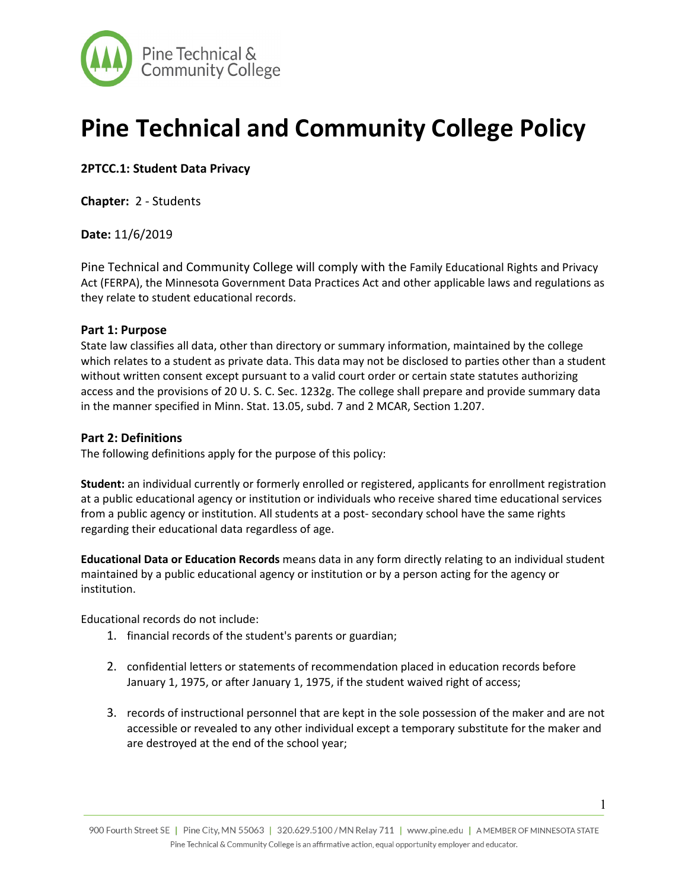

# **Pine Technical and Community College Policy**

**2PTCC.1: Student Data Privacy** 

**Chapter:** 2 - Students

**Date:** 11/6/2019

Pine Technical and Community College will comply with the Family Educational Rights and Privacy Act (FERPA), the Minnesota Government Data Practices Act and other applicable laws and regulations as they relate to student educational records.

### **Part 1: Purpose**

State law classifies all data, other than directory or summary information, maintained by the college which relates to a student as private data. This data may not be disclosed to parties other than a student without written consent except pursuant to a valid court order or certain state statutes authorizing access and the provisions of 20 U. S. C. Sec. 1232g. The college shall prepare and provide summary data in the manner specified in Minn. Stat. 13.05, subd. 7 and 2 MCAR, Section 1.207.

### **Part 2: Definitions**

The following definitions apply for the purpose of this policy:

**Student:** an individual currently or formerly enrolled or registered, applicants for enrollment registration at a public educational agency or institution or individuals who receive shared time educational services from a public agency or institution. All students at a post- secondary school have the same rights regarding their educational data regardless of age.

**Educational Data or Education Records** means data in any form directly relating to an individual student maintained by a public educational agency or institution or by a person acting for the agency or institution.

Educational records do not include:

- 1. financial records of the student's parents or guardian;
- 2. confidential letters or statements of recommendation placed in education records before January 1, 1975, or after January 1, 1975, if the student waived right of access;
- 3. records of instructional personnel that are kept in the sole possession of the maker and are not accessible or revealed to any other individual except a temporary substitute for the maker and are destroyed at the end of the school year;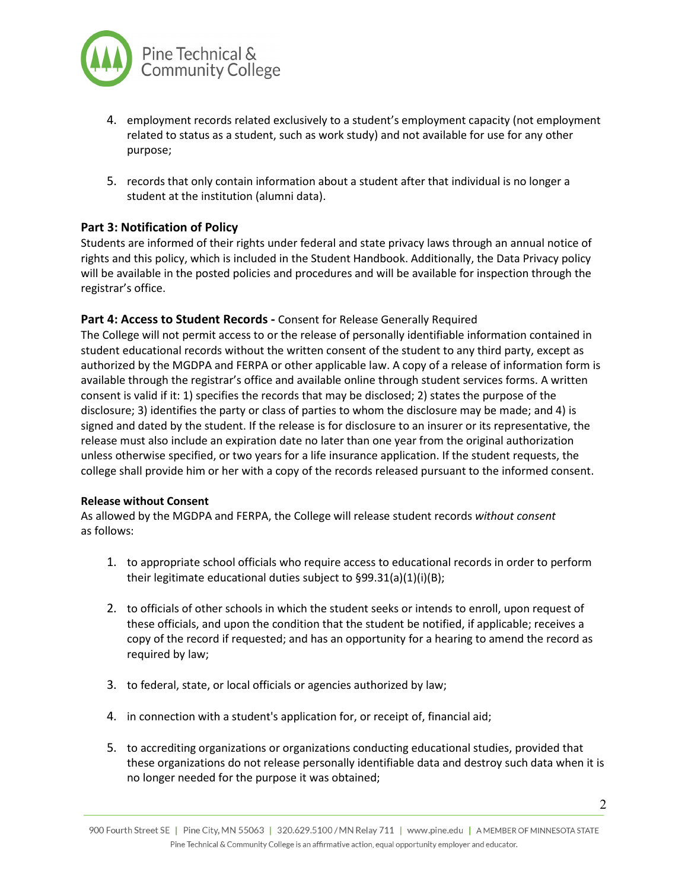

- 4. employment records related exclusively to a student's employment capacity (not employment related to status as a student, such as work study) and not available for use for any other purpose;
- 5. records that only contain information about a student after that individual is no longer a student at the institution (alumni data).

## **Part 3: Notification of Policy**

Students are informed of their rights under federal and state privacy laws through an annual notice of rights and this policy, which is included in the Student Handbook. Additionally, the Data Privacy policy will be available in the posted policies and procedures and will be available for inspection through the registrar's office.

### **Part 4: Access to Student Records -** Consent for Release Generally Required

The College will not permit access to or the release of personally identifiable information contained in student educational records without the written consent of the student to any third party, except as authorized by the MGDPA and FERPA or other applicable law. A copy of a release of information form is available through the registrar's office and available online through student services forms. A written consent is valid if it: 1) specifies the records that may be disclosed; 2) states the purpose of the disclosure; 3) identifies the party or class of parties to whom the disclosure may be made; and 4) is signed and dated by the student. If the release is for disclosure to an insurer or its representative, the release must also include an expiration date no later than one year from the original authorization unless otherwise specified, or two years for a life insurance application. If the student requests, the college shall provide him or her with a copy of the records released pursuant to the informed consent.

#### **Release without Consent**

As allowed by the MGDPA and FERPA, the College will release student records *without consent* as follows:

- 1. to appropriate school officials who require access to educational records in order to perform their legitimate educational duties subject to §99.31(a)(1)(i)(B);
- 2. to officials of other schools in which the student seeks or intends to enroll, upon request of these officials, and upon the condition that the student be notified, if applicable; receives a copy of the record if requested; and has an opportunity for a hearing to amend the record as required by law;
- 3. to federal, state, or local officials or agencies authorized by law;
- 4. in connection with a student's application for, or receipt of, financial aid;
- 5. to accrediting organizations or organizations conducting educational studies, provided that these organizations do not release personally identifiable data and destroy such data when it is no longer needed for the purpose it was obtained;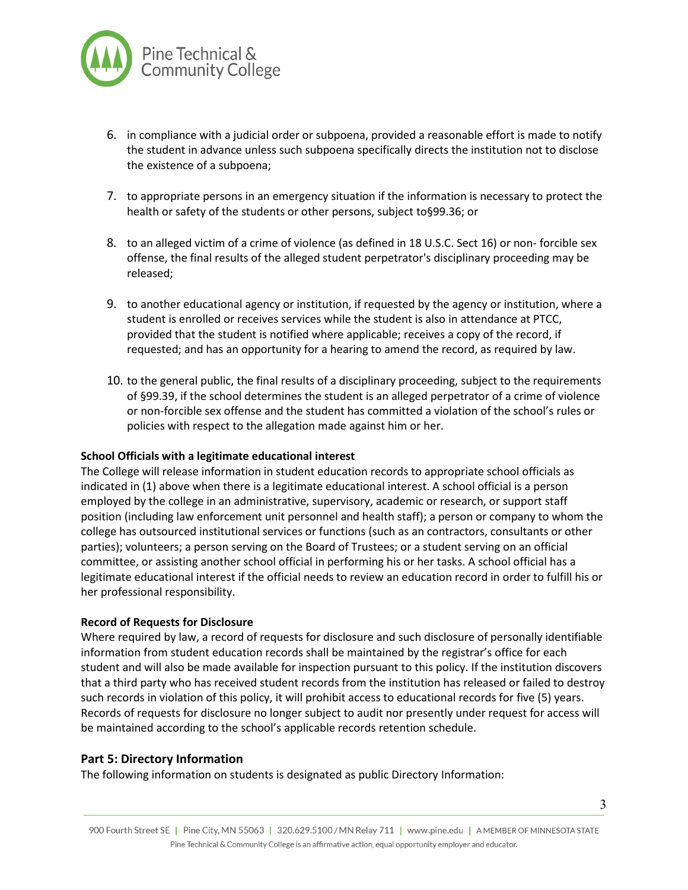

- 6. in compliance with a judicial order or subpoena, provided a reasonable effort is made to notify the student in advance unless such subpoena specifically directs the institution not to disclose the existence of a subpoena;
- 7. to appropriate persons in an emergency situation if the information is necessary to protect the health or safety of the students or other persons, subject to§99.36; or
- 8. to an alleged victim of a crime of violence (as defined in 18 U.S.C. Sect 16) or non- forcible sex offense, the final results of the alleged student perpetrator's disciplinary proceeding may be released;
- 9. to another educational agency or institution, if requested by the agency or institution, where a student is enrolled or receives services while the student is also in attendance at PTCC, provided that the student is notified where applicable; receives a copy of the record, if requested; and has an opportunity for a hearing to amend the record, as required by law.
- 10. to the general public, the final results of a disciplinary proceeding, subject to the requirements of §99.39, if the school determines the student is an alleged perpetrator of a crime of violence or non-forcible sex offense and the student has committed a violation of the school's rules or policies with respect to the allegation made against him or her.

#### **School Officials with a legitimate educational interest**

The College will release information in student education records to appropriate school officials as indicated in (1) above when there is a legitimate educational interest. A school official is a person employed by the college in an administrative, supervisory, academic or research, or support staff position (including law enforcement unit personnel and health staff); a person or company to whom the college has outsourced institutional services or functions (such as an contractors, consultants or other parties); volunteers; a person serving on the Board of Trustees; or a student serving on an official committee, or assisting another school official in performing his or her tasks. A school official has a legitimate educational interest if the official needs to review an education record in order to fulfill his or her professional responsibility.

#### **Record of Requests for Disclosure**

Where required by law, a record of requests for disclosure and such disclosure of personally identifiable information from student education records shall be maintained by the registrar's office for each student and will also be made available for inspection pursuant to this policy. If the institution discovers that a third party who has received student records from the institution has released or failed to destroy such records in violation of this policy, it will prohibit access to educational records for five (5) years. Records of requests for disclosure no longer subject to audit nor presently under request for access will be maintained according to the school's applicable records retention schedule.

#### **Part 5: Directory Information**

The following information on students is designated as public Directory Information: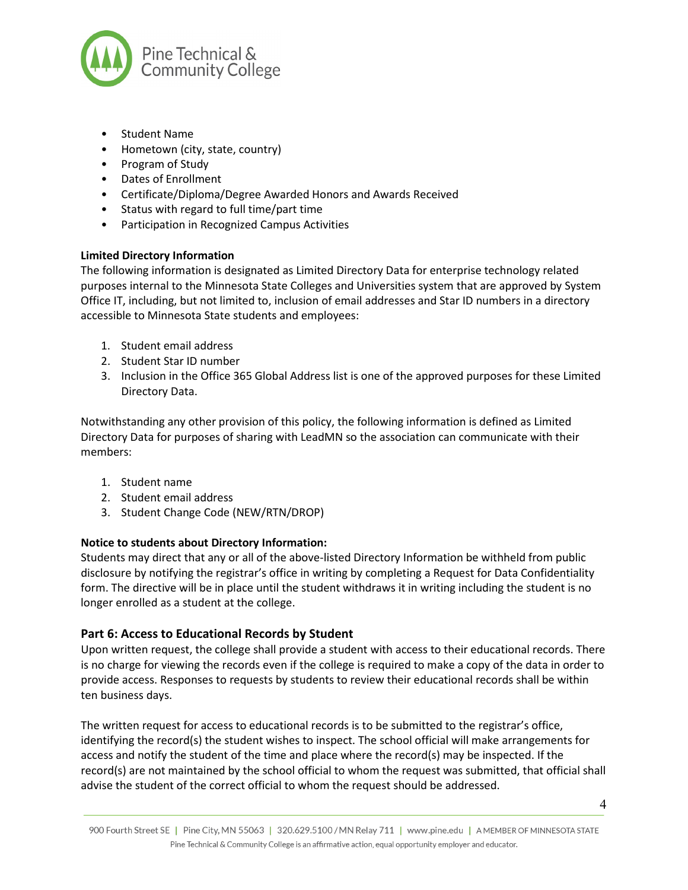

- Student Name
- Hometown (city, state, country)
- Program of Study
- Dates of Enrollment
- Certificate/Diploma/Degree Awarded Honors and Awards Received
- Status with regard to full time/part time
- Participation in Recognized Campus Activities

### **Limited Directory Information**

The following information is designated as Limited Directory Data for enterprise technology related purposes internal to the Minnesota State Colleges and Universities system that are approved by System Office IT, including, but not limited to, inclusion of email addresses and Star ID numbers in a directory accessible to Minnesota State students and employees:

- 1. Student email address
- 2. Student Star ID number
- 3. Inclusion in the Office 365 Global Address list is one of the approved purposes for these Limited Directory Data.

Notwithstanding any other provision of this policy, the following information is defined as Limited Directory Data for purposes of sharing with LeadMN so the association can communicate with their members:

- 1. Student name
- 2. Student email address
- 3. Student Change Code (NEW/RTN/DROP)

## **Notice to students about Directory Information:**

Students may direct that any or all of the above-listed Directory Information be withheld from public disclosure by notifying the registrar's office in writing by completing a Request for Data Confidentiality form. The directive will be in place until the student withdraws it in writing including the student is no longer enrolled as a student at the college.

## **Part 6: Access to Educational Records by Student**

Upon written request, the college shall provide a student with access to their educational records. There is no charge for viewing the records even if the college is required to make a copy of the data in order to provide access. Responses to requests by students to review their educational records shall be within ten business days.

The written request for access to educational records is to be submitted to the registrar's office, identifying the record(s) the student wishes to inspect. The school official will make arrangements for access and notify the student of the time and place where the record(s) may be inspected. If the record(s) are not maintained by the school official to whom the request was submitted, that official shall advise the student of the correct official to whom the request should be addressed.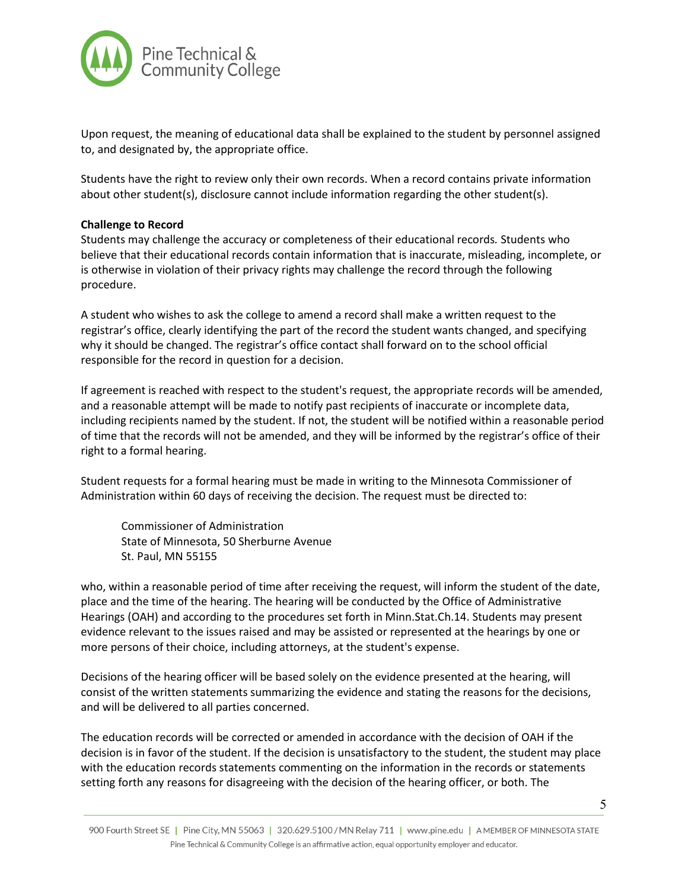

Upon request, the meaning of educational data shall be explained to the student by personnel assigned to, and designated by, the appropriate office.

Students have the right to review only their own records. When a record contains private information about other student(s), disclosure cannot include information regarding the other student(s).

#### **Challenge to Record**

Students may challenge the accuracy or completeness of their educational records*.* Students who believe that their educational records contain information that is inaccurate, misleading, incomplete, or is otherwise in violation of their privacy rights may challenge the record through the following procedure.

A student who wishes to ask the college to amend a record shall make a written request to the registrar's office, clearly identifying the part of the record the student wants changed, and specifying why it should be changed. The registrar's office contact shall forward on to the school official responsible for the record in question for a decision.

If agreement is reached with respect to the student's request, the appropriate records will be amended, and a reasonable attempt will be made to notify past recipients of inaccurate or incomplete data, including recipients named by the student. If not, the student will be notified within a reasonable period of time that the records will not be amended, and they will be informed by the registrar's office of their right to a formal hearing.

Student requests for a formal hearing must be made in writing to the Minnesota Commissioner of Administration within 60 days of receiving the decision. The request must be directed to:

Commissioner of Administration State of Minnesota, 50 Sherburne Avenue St. Paul, MN 55155

who, within a reasonable period of time after receiving the request, will inform the student of the date, place and the time of the hearing. The hearing will be conducted by the Office of Administrative Hearings (OAH) and according to the procedures set forth in Minn.Stat.Ch.14. Students may present evidence relevant to the issues raised and may be assisted or represented at the hearings by one or more persons of their choice, including attorneys, at the student's expense.

Decisions of the hearing officer will be based solely on the evidence presented at the hearing, will consist of the written statements summarizing the evidence and stating the reasons for the decisions, and will be delivered to all parties concerned.

The education records will be corrected or amended in accordance with the decision of OAH if the decision is in favor of the student. If the decision is unsatisfactory to the student, the student may place with the education records statements commenting on the information in the records or statements setting forth any reasons for disagreeing with the decision of the hearing officer, or both. The